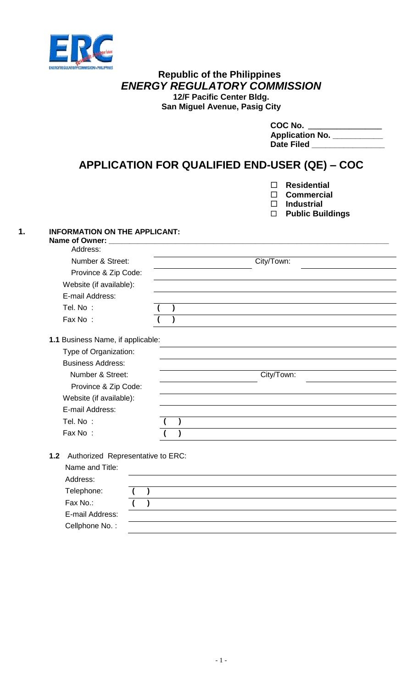

## **Republic of the Philippines** *ENERGY REGULATORY COMMISSION* **12/F Pacific Center Bldg.**

**San Miguel Avenue, Pasig City**

| COC No.                |
|------------------------|
| <b>Application No.</b> |
| <b>Date Filed</b>      |

# **APPLICATION FOR QUALIFIED END-USER (QE) – COC**

- **Residential**
- **Commercial**
- **Industrial**
- **Public Buildings**

# **1. INFORMATION ON THE APPLICANT:**

| Name of Owner: ____________________                                                                                                                                                                     |            |            |  |
|---------------------------------------------------------------------------------------------------------------------------------------------------------------------------------------------------------|------------|------------|--|
| Address:                                                                                                                                                                                                |            |            |  |
| Number & Street:                                                                                                                                                                                        |            | City/Town: |  |
| Province & Zip Code:                                                                                                                                                                                    | City/Town: |            |  |
| Website (if available):                                                                                                                                                                                 |            |            |  |
| E-mail Address:                                                                                                                                                                                         |            |            |  |
| Tel. No:                                                                                                                                                                                                |            |            |  |
| Fax No:                                                                                                                                                                                                 |            |            |  |
| 1.1 Business Name, if applicable:<br>Type of Organization:<br><b>Business Address:</b><br>Number & Street:<br>Province & Zip Code:<br>Website (if available):<br>E-mail Address:<br>Tel. No:<br>Fax No: |            |            |  |
|                                                                                                                                                                                                         |            |            |  |

**1.2** Authorized Representative to ERC:

| Name and Title: |  |
|-----------------|--|
| Address:        |  |
| Telephone:      |  |
| Fax No.:        |  |
| E-mail Address: |  |
| Cellphone No.:  |  |